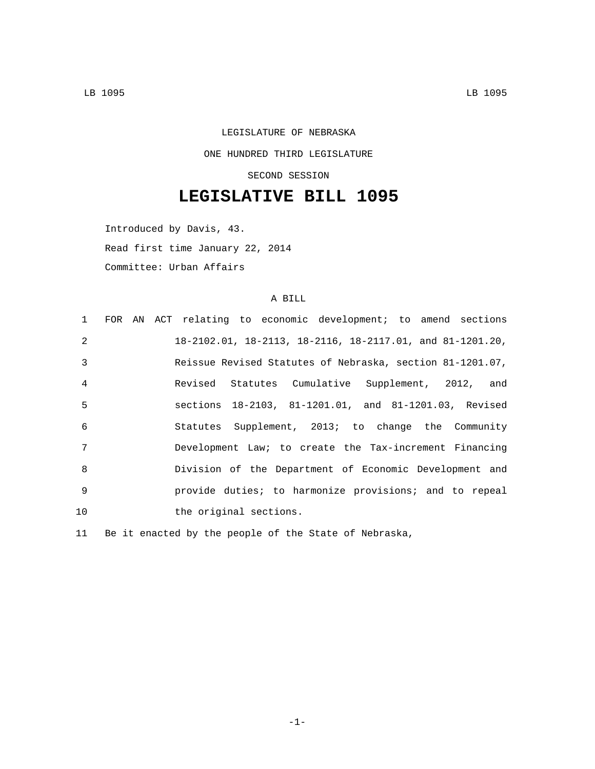## LEGISLATURE OF NEBRASKA ONE HUNDRED THIRD LEGISLATURE SECOND SESSION

## **LEGISLATIVE BILL 1095**

Introduced by Davis, 43.

Read first time January 22, 2014

Committee: Urban Affairs

## A BILL

| $1 \quad$       | FOR AN ACT relating to economic development; to amend sections |
|-----------------|----------------------------------------------------------------|
| $\mathcal{L}$   | 18-2102.01, 18-2113, 18-2116, 18-2117.01, and 81-1201.20,      |
| $\mathcal{E}$   | Reissue Revised Statutes of Nebraska, section 81-1201.07,      |
| $\overline{4}$  | Revised Statutes Cumulative Supplement, 2012, and              |
| $5\overline{5}$ | sections 18-2103, 81-1201.01, and 81-1201.03, Revised          |
| 6               | Statutes Supplement, 2013; to change the Community             |
| 7               | Development Law; to create the Tax-increment Financing         |
| $\mathsf{R}$    | Division of the Department of Economic Development and         |
| $\mathsf{Q}$    | provide duties; to harmonize provisions; and to repeal         |
| 10              | the original sections.                                         |

11 Be it enacted by the people of the State of Nebraska,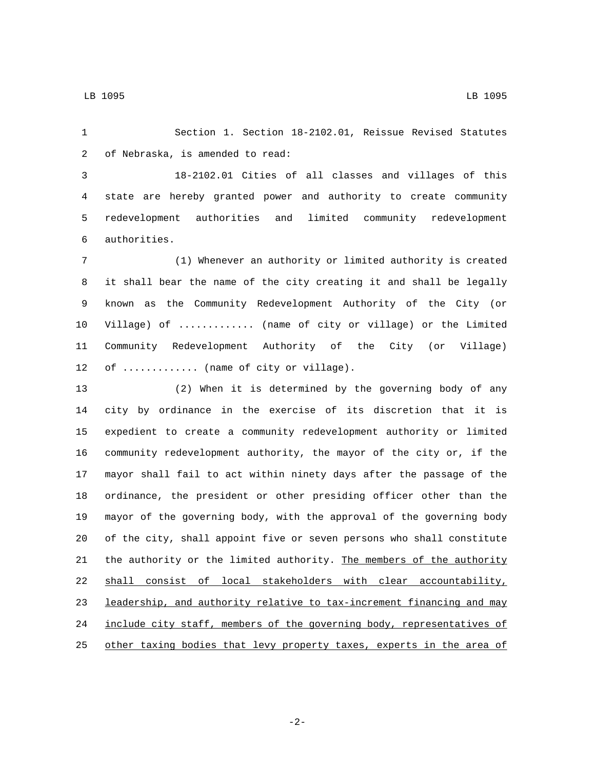Section 1. Section 18-2102.01, Reissue Revised Statutes 2 of Nebraska, is amended to read:

 18-2102.01 Cities of all classes and villages of this state are hereby granted power and authority to create community redevelopment authorities and limited community redevelopment authorities.6

 (1) Whenever an authority or limited authority is created it shall bear the name of the city creating it and shall be legally known as the Community Redevelopment Authority of the City (or Village) of ............. (name of city or village) or the Limited Community Redevelopment Authority of the City (or Village) 12 of ............. (name of city or village).

 (2) When it is determined by the governing body of any city by ordinance in the exercise of its discretion that it is expedient to create a community redevelopment authority or limited community redevelopment authority, the mayor of the city or, if the mayor shall fail to act within ninety days after the passage of the ordinance, the president or other presiding officer other than the mayor of the governing body, with the approval of the governing body of the city, shall appoint five or seven persons who shall constitute the authority or the limited authority. The members of the authority shall consist of local stakeholders with clear accountability, 23 leadership, and authority relative to tax-increment financing and may include city staff, members of the governing body, representatives of 25 other taxing bodies that levy property taxes, experts in the area of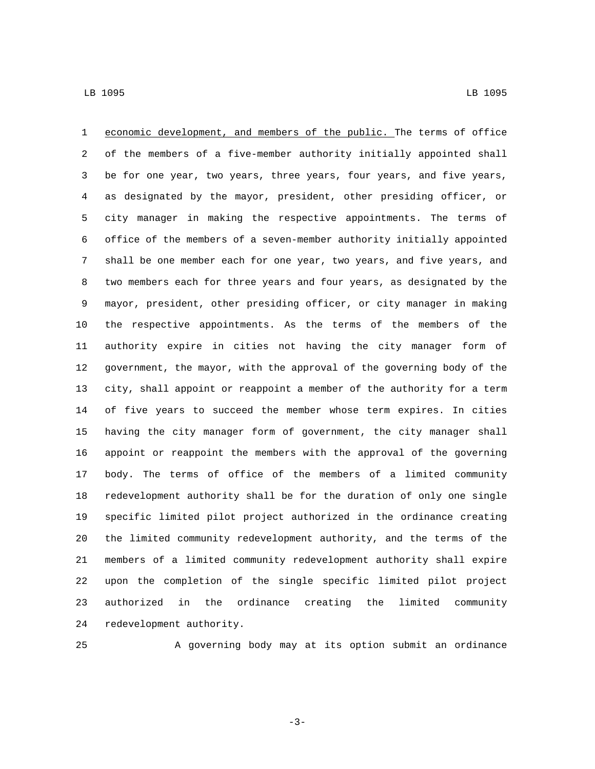economic development, and members of the public. The terms of office of the members of a five-member authority initially appointed shall be for one year, two years, three years, four years, and five years, as designated by the mayor, president, other presiding officer, or city manager in making the respective appointments. The terms of office of the members of a seven-member authority initially appointed shall be one member each for one year, two years, and five years, and two members each for three years and four years, as designated by the mayor, president, other presiding officer, or city manager in making the respective appointments. As the terms of the members of the authority expire in cities not having the city manager form of government, the mayor, with the approval of the governing body of the city, shall appoint or reappoint a member of the authority for a term of five years to succeed the member whose term expires. In cities having the city manager form of government, the city manager shall appoint or reappoint the members with the approval of the governing body. The terms of office of the members of a limited community redevelopment authority shall be for the duration of only one single specific limited pilot project authorized in the ordinance creating the limited community redevelopment authority, and the terms of the members of a limited community redevelopment authority shall expire upon the completion of the single specific limited pilot project authorized in the ordinance creating the limited community 24 redevelopment authority.

A governing body may at its option submit an ordinance

-3-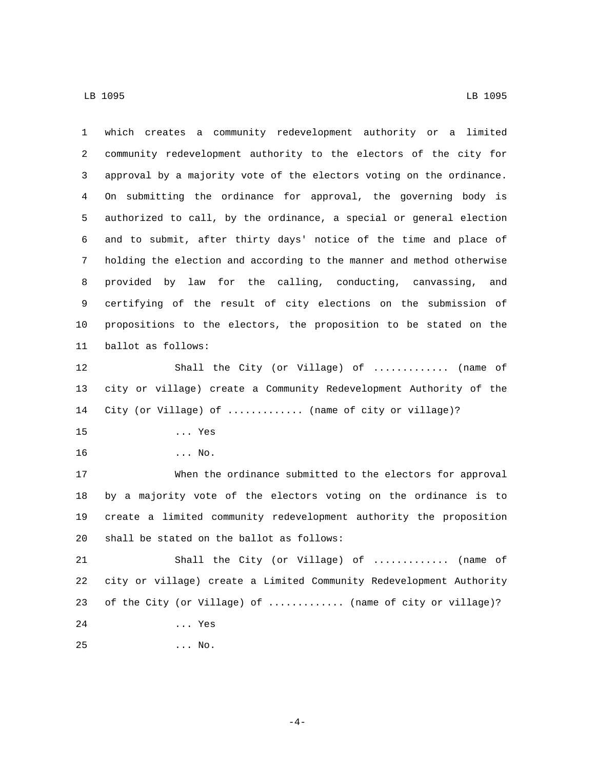| 1  | which creates a community redevelopment authority or a limited        |
|----|-----------------------------------------------------------------------|
| 2  | community redevelopment authority to the electors of the city for     |
| 3  | approval by a majority vote of the electors voting on the ordinance.  |
| 4  | On submitting the ordinance for approval, the governing body is       |
| 5  | authorized to call, by the ordinance, a special or general election   |
| 6  | and to submit, after thirty days' notice of the time and place of     |
| 7  | holding the election and according to the manner and method otherwise |
| 8  | provided by law for the calling, conducting, canvassing, and          |
| 9  | certifying of the result of city elections on the submission of       |
| 10 | propositions to the electors, the proposition to be stated on the     |
| 11 | ballot as follows:                                                    |
| 12 | Shall the City (or Village) of  (name of                              |
| 13 | city or village) create a Community Redevelopment Authority of the    |
| 14 | City (or Village) of  (name of city or village)?                      |
| 15 | $\ldots$ Yes                                                          |
| 16 | $\ldots$ No.                                                          |
| 17 | When the ordinance submitted to the electors for approval             |
| 18 | by a majority vote of the electors voting on the ordinance is to      |
| 19 | create a limited community redevelopment authority the proposition    |
| 20 | shall be stated on the ballot as follows:                             |
| 21 | Shall the City (or Village) of<br>(name of                            |
| 22 | city or village) create a Limited Community Redevelopment Authority   |
| 23 | of the City (or Village) of  (name of city or village)?               |
| 24 | Yes                                                                   |
| 25 | $\ldots$ No.                                                          |

 $-4-$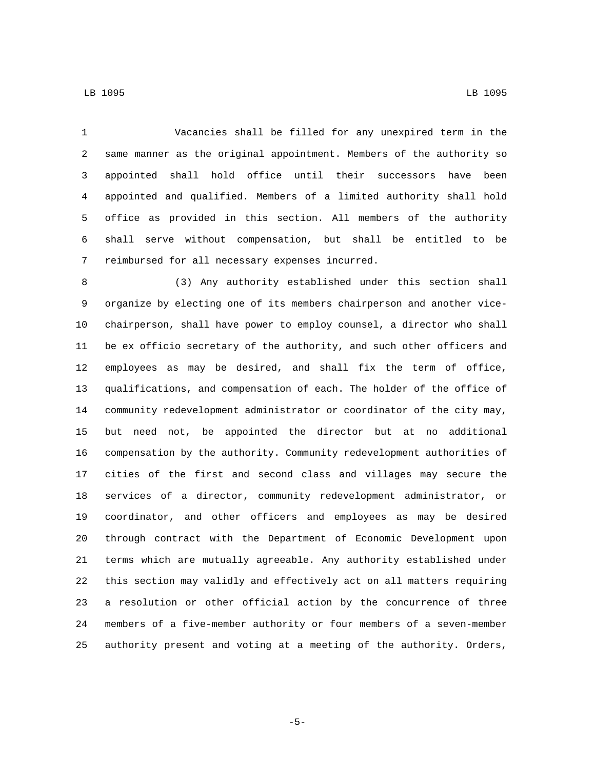Vacancies shall be filled for any unexpired term in the same manner as the original appointment. Members of the authority so appointed shall hold office until their successors have been appointed and qualified. Members of a limited authority shall hold office as provided in this section. All members of the authority shall serve without compensation, but shall be entitled to be 7 reimbursed for all necessary expenses incurred.

 (3) Any authority established under this section shall organize by electing one of its members chairperson and another vice- chairperson, shall have power to employ counsel, a director who shall be ex officio secretary of the authority, and such other officers and employees as may be desired, and shall fix the term of office, qualifications, and compensation of each. The holder of the office of community redevelopment administrator or coordinator of the city may, but need not, be appointed the director but at no additional compensation by the authority. Community redevelopment authorities of cities of the first and second class and villages may secure the services of a director, community redevelopment administrator, or coordinator, and other officers and employees as may be desired through contract with the Department of Economic Development upon terms which are mutually agreeable. Any authority established under this section may validly and effectively act on all matters requiring a resolution or other official action by the concurrence of three members of a five-member authority or four members of a seven-member authority present and voting at a meeting of the authority. Orders,

-5-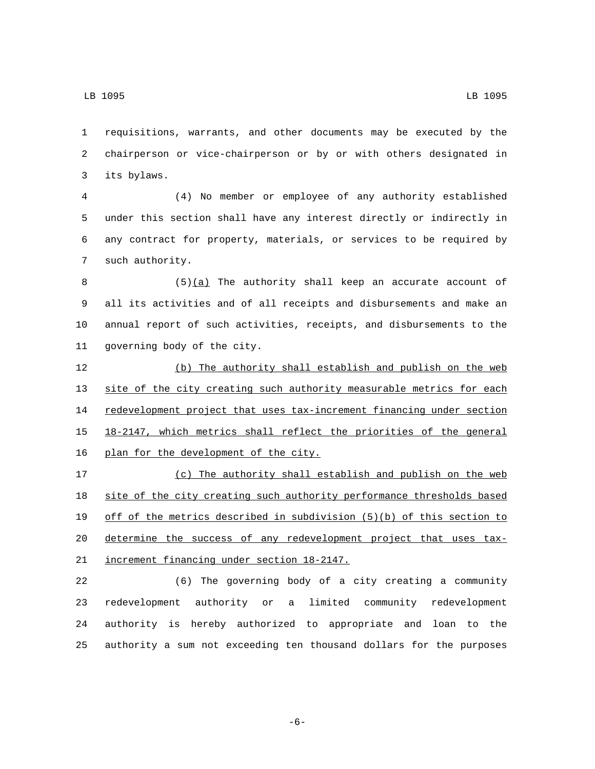requisitions, warrants, and other documents may be executed by the chairperson or vice-chairperson or by or with others designated in its bylaws.3

 (4) No member or employee of any authority established under this section shall have any interest directly or indirectly in any contract for property, materials, or services to be required by 7 such authority.

8 (5)(a) The authority shall keep an accurate account of all its activities and of all receipts and disbursements and make an annual report of such activities, receipts, and disbursements to the 11 governing body of the city.

 (b) The authority shall establish and publish on the web site of the city creating such authority measurable metrics for each 14 redevelopment project that uses tax-increment financing under section 18-2147, which metrics shall reflect the priorities of the general 16 plan for the development of the city.

 (c) The authority shall establish and publish on the web site of the city creating such authority performance thresholds based off of the metrics described in subdivision (5)(b) of this section to determine the success of any redevelopment project that uses tax-21 increment financing under section 18-2147.

 (6) The governing body of a city creating a community redevelopment authority or a limited community redevelopment authority is hereby authorized to appropriate and loan to the authority a sum not exceeding ten thousand dollars for the purposes

-6-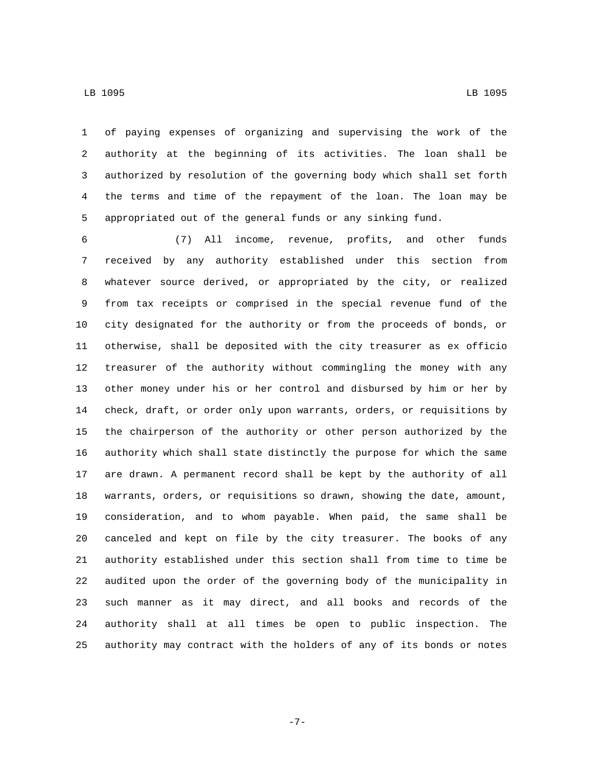of paying expenses of organizing and supervising the work of the authority at the beginning of its activities. The loan shall be authorized by resolution of the governing body which shall set forth the terms and time of the repayment of the loan. The loan may be appropriated out of the general funds or any sinking fund.

 (7) All income, revenue, profits, and other funds received by any authority established under this section from whatever source derived, or appropriated by the city, or realized from tax receipts or comprised in the special revenue fund of the city designated for the authority or from the proceeds of bonds, or otherwise, shall be deposited with the city treasurer as ex officio treasurer of the authority without commingling the money with any other money under his or her control and disbursed by him or her by check, draft, or order only upon warrants, orders, or requisitions by the chairperson of the authority or other person authorized by the authority which shall state distinctly the purpose for which the same are drawn. A permanent record shall be kept by the authority of all warrants, orders, or requisitions so drawn, showing the date, amount, consideration, and to whom payable. When paid, the same shall be canceled and kept on file by the city treasurer. The books of any authority established under this section shall from time to time be audited upon the order of the governing body of the municipality in such manner as it may direct, and all books and records of the authority shall at all times be open to public inspection. The authority may contract with the holders of any of its bonds or notes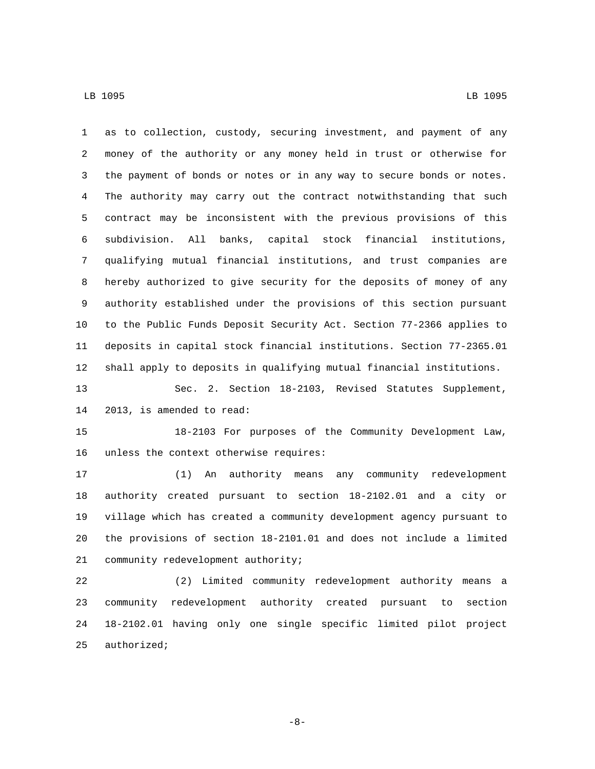as to collection, custody, securing investment, and payment of any money of the authority or any money held in trust or otherwise for the payment of bonds or notes or in any way to secure bonds or notes. The authority may carry out the contract notwithstanding that such contract may be inconsistent with the previous provisions of this subdivision. All banks, capital stock financial institutions, qualifying mutual financial institutions, and trust companies are hereby authorized to give security for the deposits of money of any authority established under the provisions of this section pursuant to the Public Funds Deposit Security Act. Section 77-2366 applies to deposits in capital stock financial institutions. Section 77-2365.01 shall apply to deposits in qualifying mutual financial institutions.

 Sec. 2. Section 18-2103, Revised Statutes Supplement, 14 2013, is amended to read:

 18-2103 For purposes of the Community Development Law, 16 unless the context otherwise requires:

 (1) An authority means any community redevelopment authority created pursuant to section 18-2102.01 and a city or village which has created a community development agency pursuant to the provisions of section 18-2101.01 and does not include a limited 21 community redevelopment authority;

 (2) Limited community redevelopment authority means a community redevelopment authority created pursuant to section 18-2102.01 having only one single specific limited pilot project authorized;

-8-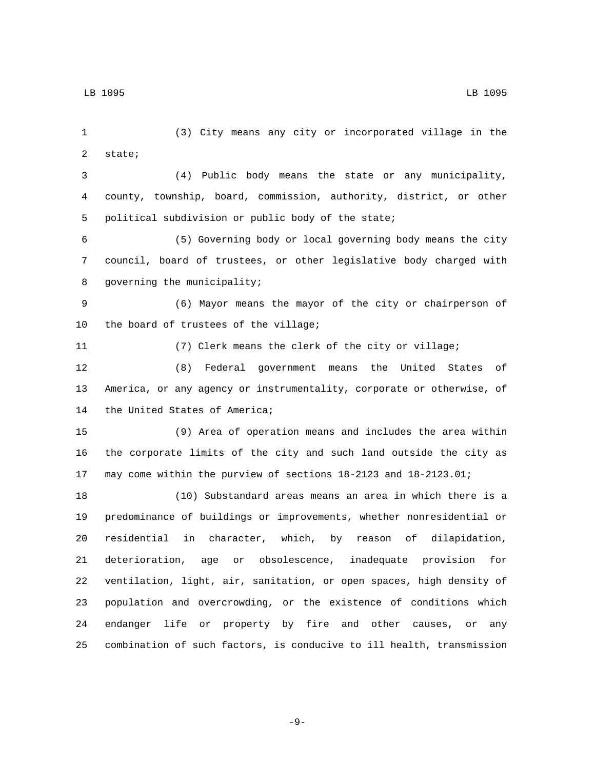(3) City means any city or incorporated village in the 2 state; (4) Public body means the state or any municipality, county, township, board, commission, authority, district, or other 5 political subdivision or public body of the state; (5) Governing body or local governing body means the city council, board of trustees, or other legislative body charged with 8 governing the municipality; (6) Mayor means the mayor of the city or chairperson of 10 the board of trustees of the village; (7) Clerk means the clerk of the city or village; (8) Federal government means the United States of America, or any agency or instrumentality, corporate or otherwise, of 14 the United States of America; (9) Area of operation means and includes the area within the corporate limits of the city and such land outside the city as may come within the purview of sections 18-2123 and 18-2123.01; (10) Substandard areas means an area in which there is a predominance of buildings or improvements, whether nonresidential or residential in character, which, by reason of dilapidation, deterioration, age or obsolescence, inadequate provision for ventilation, light, air, sanitation, or open spaces, high density of population and overcrowding, or the existence of conditions which endanger life or property by fire and other causes, or any combination of such factors, is conducive to ill health, transmission

-9-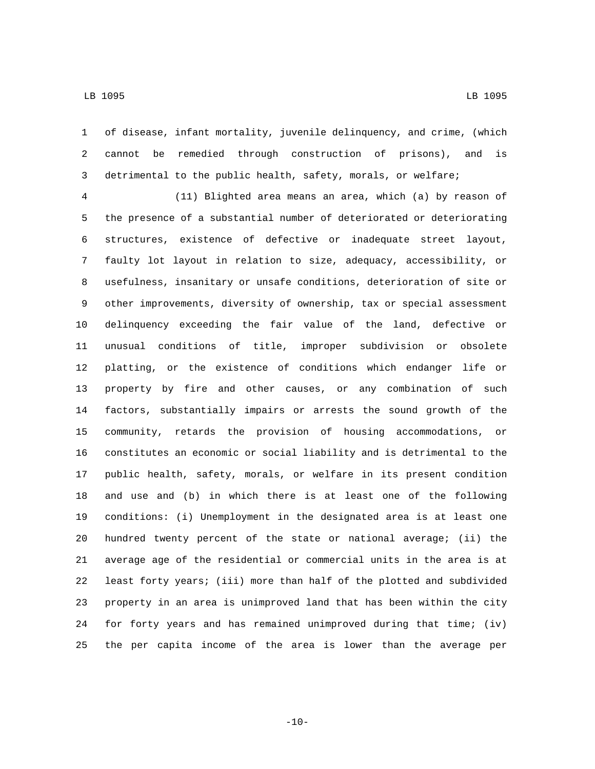of disease, infant mortality, juvenile delinquency, and crime, (which cannot be remedied through construction of prisons), and is detrimental to the public health, safety, morals, or welfare;

 (11) Blighted area means an area, which (a) by reason of the presence of a substantial number of deteriorated or deteriorating structures, existence of defective or inadequate street layout, faulty lot layout in relation to size, adequacy, accessibility, or usefulness, insanitary or unsafe conditions, deterioration of site or other improvements, diversity of ownership, tax or special assessment delinquency exceeding the fair value of the land, defective or unusual conditions of title, improper subdivision or obsolete platting, or the existence of conditions which endanger life or property by fire and other causes, or any combination of such factors, substantially impairs or arrests the sound growth of the community, retards the provision of housing accommodations, or constitutes an economic or social liability and is detrimental to the public health, safety, morals, or welfare in its present condition and use and (b) in which there is at least one of the following conditions: (i) Unemployment in the designated area is at least one hundred twenty percent of the state or national average; (ii) the average age of the residential or commercial units in the area is at least forty years; (iii) more than half of the plotted and subdivided property in an area is unimproved land that has been within the city for forty years and has remained unimproved during that time; (iv) the per capita income of the area is lower than the average per

 $-10-$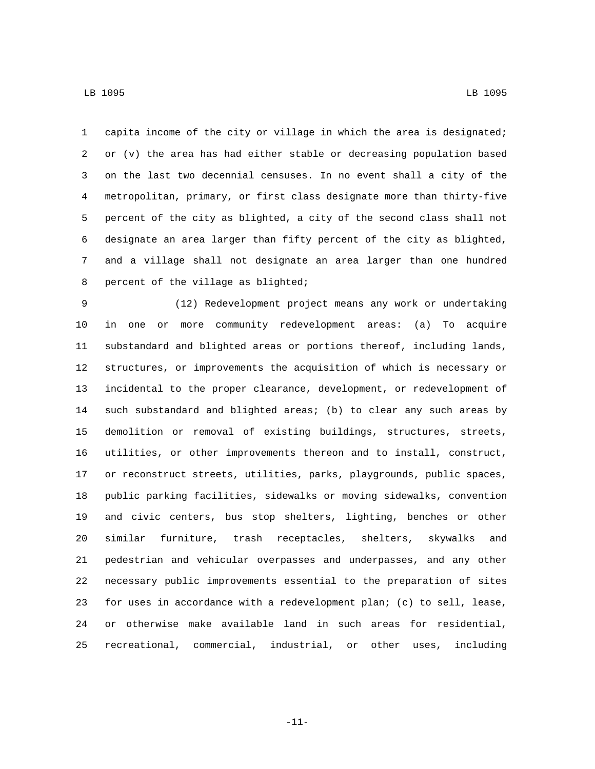capita income of the city or village in which the area is designated; or (v) the area has had either stable or decreasing population based on the last two decennial censuses. In no event shall a city of the metropolitan, primary, or first class designate more than thirty-five percent of the city as blighted, a city of the second class shall not designate an area larger than fifty percent of the city as blighted, and a village shall not designate an area larger than one hundred 8 percent of the village as blighted;

 (12) Redevelopment project means any work or undertaking in one or more community redevelopment areas: (a) To acquire substandard and blighted areas or portions thereof, including lands, structures, or improvements the acquisition of which is necessary or incidental to the proper clearance, development, or redevelopment of such substandard and blighted areas; (b) to clear any such areas by demolition or removal of existing buildings, structures, streets, utilities, or other improvements thereon and to install, construct, or reconstruct streets, utilities, parks, playgrounds, public spaces, public parking facilities, sidewalks or moving sidewalks, convention and civic centers, bus stop shelters, lighting, benches or other similar furniture, trash receptacles, shelters, skywalks and pedestrian and vehicular overpasses and underpasses, and any other necessary public improvements essential to the preparation of sites for uses in accordance with a redevelopment plan; (c) to sell, lease, or otherwise make available land in such areas for residential, recreational, commercial, industrial, or other uses, including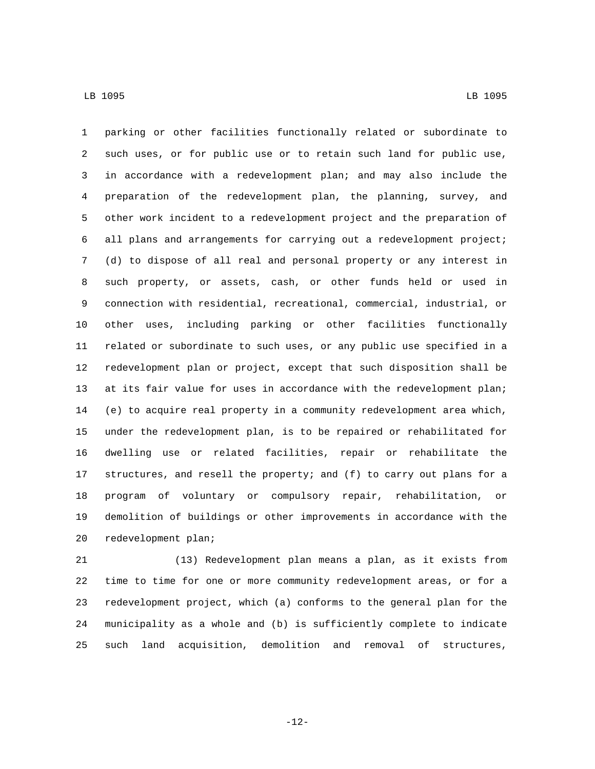parking or other facilities functionally related or subordinate to such uses, or for public use or to retain such land for public use, in accordance with a redevelopment plan; and may also include the preparation of the redevelopment plan, the planning, survey, and other work incident to a redevelopment project and the preparation of all plans and arrangements for carrying out a redevelopment project; (d) to dispose of all real and personal property or any interest in such property, or assets, cash, or other funds held or used in connection with residential, recreational, commercial, industrial, or other uses, including parking or other facilities functionally related or subordinate to such uses, or any public use specified in a redevelopment plan or project, except that such disposition shall be at its fair value for uses in accordance with the redevelopment plan; (e) to acquire real property in a community redevelopment area which, under the redevelopment plan, is to be repaired or rehabilitated for dwelling use or related facilities, repair or rehabilitate the structures, and resell the property; and (f) to carry out plans for a program of voluntary or compulsory repair, rehabilitation, or demolition of buildings or other improvements in accordance with the 20 redevelopment plan;

 (13) Redevelopment plan means a plan, as it exists from time to time for one or more community redevelopment areas, or for a redevelopment project, which (a) conforms to the general plan for the municipality as a whole and (b) is sufficiently complete to indicate such land acquisition, demolition and removal of structures,

-12-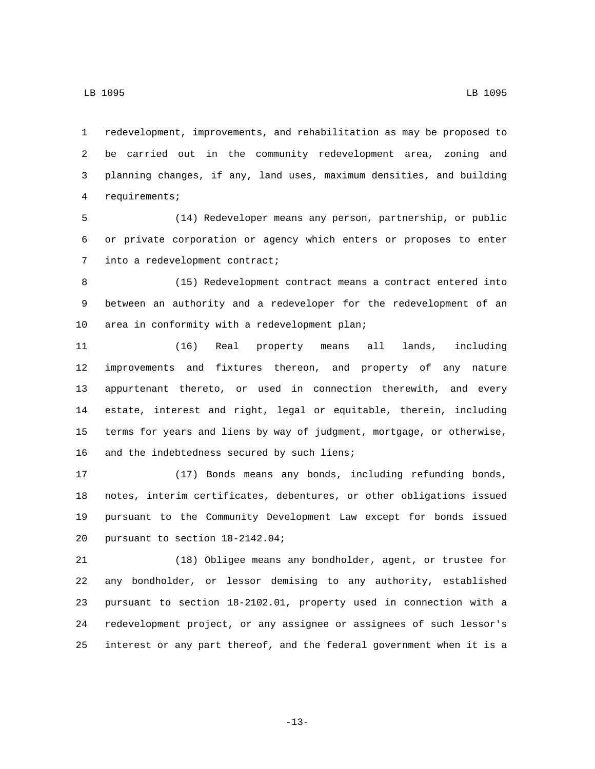redevelopment, improvements, and rehabilitation as may be proposed to be carried out in the community redevelopment area, zoning and planning changes, if any, land uses, maximum densities, and building requirements;4

 (14) Redeveloper means any person, partnership, or public or private corporation or agency which enters or proposes to enter 7 into a redevelopment contract;

 (15) Redevelopment contract means a contract entered into between an authority and a redeveloper for the redevelopment of an 10 area in conformity with a redevelopment plan;

 (16) Real property means all lands, including improvements and fixtures thereon, and property of any nature appurtenant thereto, or used in connection therewith, and every estate, interest and right, legal or equitable, therein, including terms for years and liens by way of judgment, mortgage, or otherwise, 16 and the indebtedness secured by such liens;

 (17) Bonds means any bonds, including refunding bonds, notes, interim certificates, debentures, or other obligations issued pursuant to the Community Development Law except for bonds issued 20 pursuant to section 18-2142.04;

 (18) Obligee means any bondholder, agent, or trustee for any bondholder, or lessor demising to any authority, established pursuant to section 18-2102.01, property used in connection with a redevelopment project, or any assignee or assignees of such lessor's interest or any part thereof, and the federal government when it is a

-13-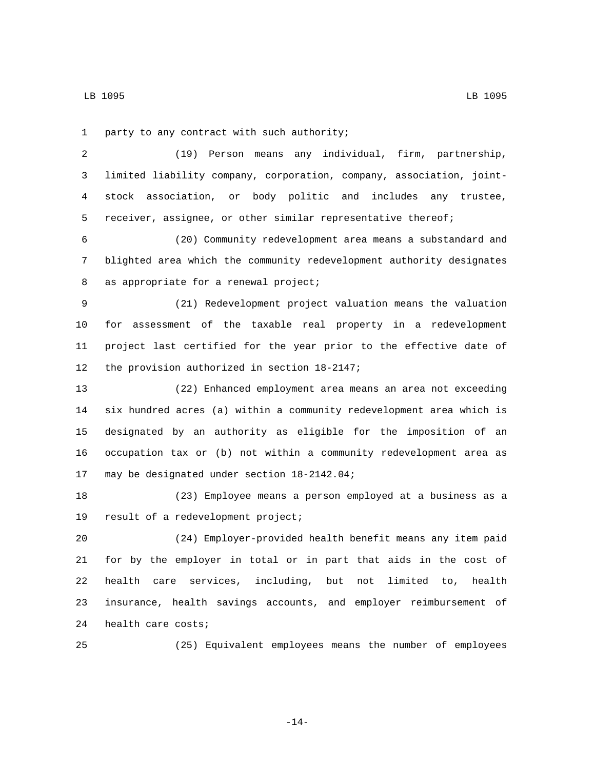1 party to any contract with such authority;

 (19) Person means any individual, firm, partnership, limited liability company, corporation, company, association, joint- stock association, or body politic and includes any trustee, receiver, assignee, or other similar representative thereof;

 (20) Community redevelopment area means a substandard and blighted area which the community redevelopment authority designates 8 as appropriate for a renewal project;

 (21) Redevelopment project valuation means the valuation for assessment of the taxable real property in a redevelopment project last certified for the year prior to the effective date of 12 the provision authorized in section 18-2147;

 (22) Enhanced employment area means an area not exceeding six hundred acres (a) within a community redevelopment area which is designated by an authority as eligible for the imposition of an occupation tax or (b) not within a community redevelopment area as 17 may be designated under section 18-2142.04;

 (23) Employee means a person employed at a business as a 19 result of a redevelopment project;

 (24) Employer-provided health benefit means any item paid for by the employer in total or in part that aids in the cost of health care services, including, but not limited to, health insurance, health savings accounts, and employer reimbursement of 24 health care costs;

(25) Equivalent employees means the number of employees

-14-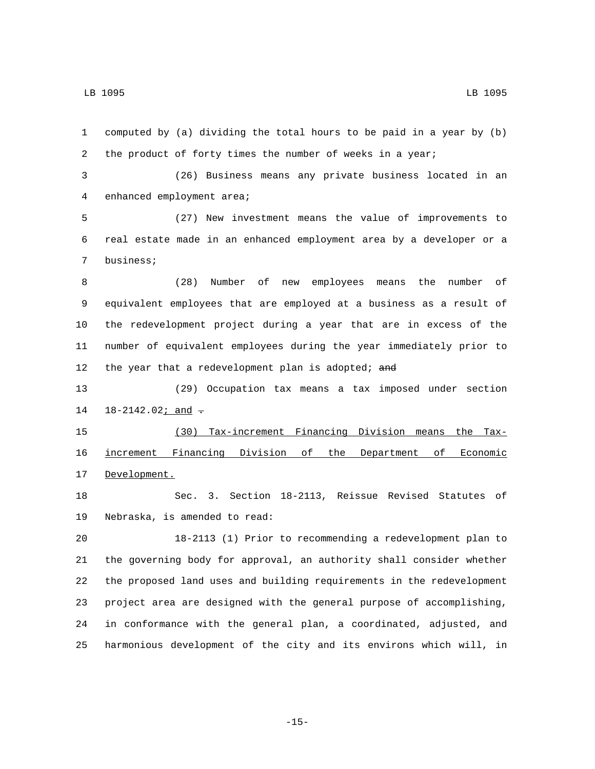computed by (a) dividing the total hours to be paid in a year by (b) the product of forty times the number of weeks in a year; (26) Business means any private business located in an 4 enhanced employment area;

 (27) New investment means the value of improvements to real estate made in an enhanced employment area by a developer or a 7 business;

 (28) Number of new employees means the number of equivalent employees that are employed at a business as a result of the redevelopment project during a year that are in excess of the number of equivalent employees during the year immediately prior to 12 the year that a redevelopment plan is adopted; and

 (29) Occupation tax means a tax imposed under section  $18-2142.02$ ; and  $-$ 

 (30) Tax-increment Financing Division means the Tax- increment Financing Division of the Department of Economic 17 Development.

 Sec. 3. Section 18-2113, Reissue Revised Statutes of 19 Nebraska, is amended to read:

 18-2113 (1) Prior to recommending a redevelopment plan to the governing body for approval, an authority shall consider whether the proposed land uses and building requirements in the redevelopment project area are designed with the general purpose of accomplishing, in conformance with the general plan, a coordinated, adjusted, and harmonious development of the city and its environs which will, in

-15-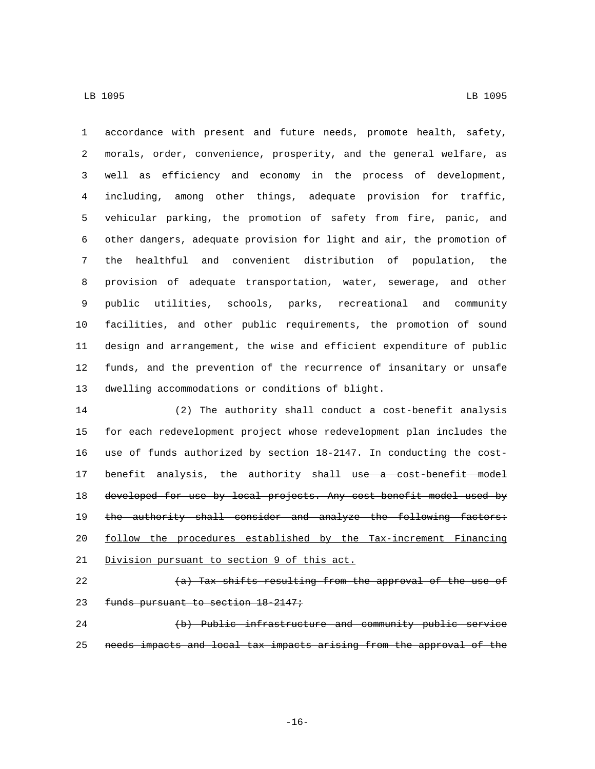accordance with present and future needs, promote health, safety, morals, order, convenience, prosperity, and the general welfare, as well as efficiency and economy in the process of development, including, among other things, adequate provision for traffic, vehicular parking, the promotion of safety from fire, panic, and other dangers, adequate provision for light and air, the promotion of the healthful and convenient distribution of population, the provision of adequate transportation, water, sewerage, and other public utilities, schools, parks, recreational and community facilities, and other public requirements, the promotion of sound design and arrangement, the wise and efficient expenditure of public funds, and the prevention of the recurrence of insanitary or unsafe 13 dwelling accommodations or conditions of blight.

 (2) The authority shall conduct a cost-benefit analysis for each redevelopment project whose redevelopment plan includes the use of funds authorized by section 18-2147. In conducting the cost-17 benefit analysis, the authority shall use a cost-benefit model developed for use by local projects. Any cost-benefit model used by 19 the authority shall consider and analyze the following factors: follow the procedures established by the Tax-increment Financing 21 Division pursuant to section 9 of this act.

- 
- $(a)$  Tax shifts resulting from the approval of the use of
- 23 funds pursuant to section 18-2147;

 (b) Public infrastructure and community public service needs impacts and local tax impacts arising from the approval of the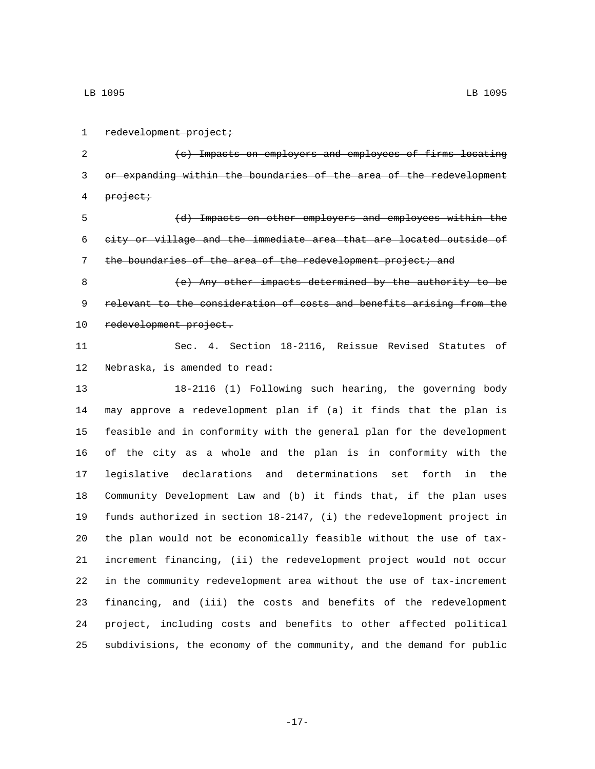1 redevelopment project;

 (c) Impacts on employers and employees of firms locating or expanding within the boundaries of the area of the redevelopment 4 project;

 (d) Impacts on other employers and employees within the city or village and the immediate area that are located outside of 7 the boundaries of the area of the redevelopment project; and

 (e) Any other impacts determined by the authority to be relevant to the consideration of costs and benefits arising from the 10 redevelopment project.

 Sec. 4. Section 18-2116, Reissue Revised Statutes of 12 Nebraska, is amended to read:

 18-2116 (1) Following such hearing, the governing body may approve a redevelopment plan if (a) it finds that the plan is feasible and in conformity with the general plan for the development of the city as a whole and the plan is in conformity with the legislative declarations and determinations set forth in the Community Development Law and (b) it finds that, if the plan uses funds authorized in section 18-2147, (i) the redevelopment project in the plan would not be economically feasible without the use of tax- increment financing, (ii) the redevelopment project would not occur in the community redevelopment area without the use of tax-increment financing, and (iii) the costs and benefits of the redevelopment project, including costs and benefits to other affected political subdivisions, the economy of the community, and the demand for public

-17-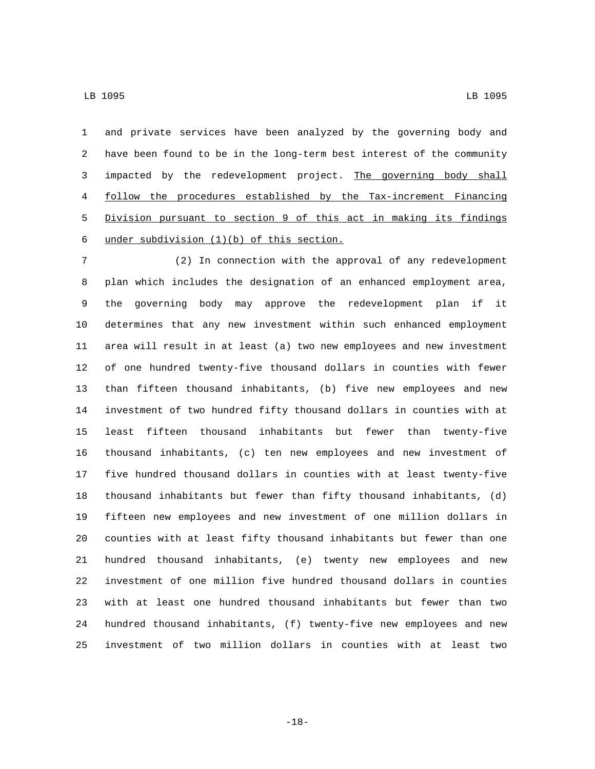and private services have been analyzed by the governing body and have been found to be in the long-term best interest of the community impacted by the redevelopment project. The governing body shall follow the procedures established by the Tax-increment Financing Division pursuant to section 9 of this act in making its findings 6 under subdivision  $(1)(b)$  of this section.

 (2) In connection with the approval of any redevelopment plan which includes the designation of an enhanced employment area, the governing body may approve the redevelopment plan if it determines that any new investment within such enhanced employment area will result in at least (a) two new employees and new investment of one hundred twenty-five thousand dollars in counties with fewer than fifteen thousand inhabitants, (b) five new employees and new investment of two hundred fifty thousand dollars in counties with at least fifteen thousand inhabitants but fewer than twenty-five thousand inhabitants, (c) ten new employees and new investment of five hundred thousand dollars in counties with at least twenty-five thousand inhabitants but fewer than fifty thousand inhabitants, (d) fifteen new employees and new investment of one million dollars in counties with at least fifty thousand inhabitants but fewer than one hundred thousand inhabitants, (e) twenty new employees and new investment of one million five hundred thousand dollars in counties with at least one hundred thousand inhabitants but fewer than two hundred thousand inhabitants, (f) twenty-five new employees and new investment of two million dollars in counties with at least two

-18-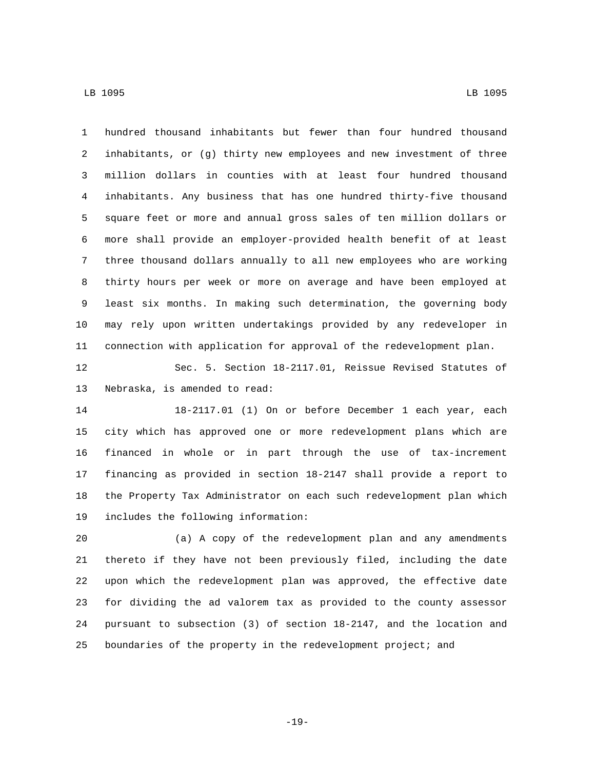hundred thousand inhabitants but fewer than four hundred thousand inhabitants, or (g) thirty new employees and new investment of three million dollars in counties with at least four hundred thousand inhabitants. Any business that has one hundred thirty-five thousand square feet or more and annual gross sales of ten million dollars or more shall provide an employer-provided health benefit of at least three thousand dollars annually to all new employees who are working thirty hours per week or more on average and have been employed at least six months. In making such determination, the governing body may rely upon written undertakings provided by any redeveloper in connection with application for approval of the redevelopment plan.

 Sec. 5. Section 18-2117.01, Reissue Revised Statutes of 13 Nebraska, is amended to read:

 18-2117.01 (1) On or before December 1 each year, each city which has approved one or more redevelopment plans which are financed in whole or in part through the use of tax-increment financing as provided in section 18-2147 shall provide a report to the Property Tax Administrator on each such redevelopment plan which 19 includes the following information:

 (a) A copy of the redevelopment plan and any amendments thereto if they have not been previously filed, including the date upon which the redevelopment plan was approved, the effective date for dividing the ad valorem tax as provided to the county assessor pursuant to subsection (3) of section 18-2147, and the location and boundaries of the property in the redevelopment project; and

-19-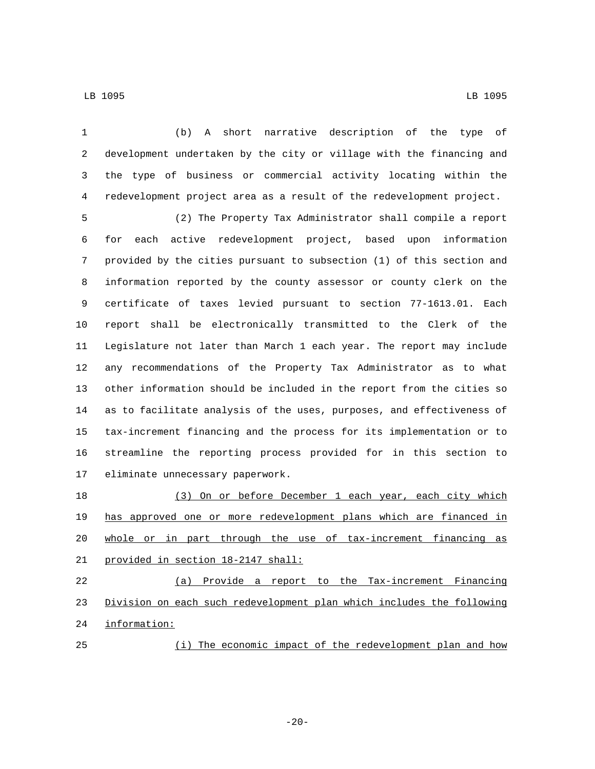(b) A short narrative description of the type of development undertaken by the city or village with the financing and the type of business or commercial activity locating within the redevelopment project area as a result of the redevelopment project. (2) The Property Tax Administrator shall compile a report for each active redevelopment project, based upon information provided by the cities pursuant to subsection (1) of this section and information reported by the county assessor or county clerk on the certificate of taxes levied pursuant to section 77-1613.01. Each report shall be electronically transmitted to the Clerk of the Legislature not later than March 1 each year. The report may include any recommendations of the Property Tax Administrator as to what other information should be included in the report from the cities so as to facilitate analysis of the uses, purposes, and effectiveness of

 tax-increment financing and the process for its implementation or to streamline the reporting process provided for in this section to 17 eliminate unnecessary paperwork.

 (3) On or before December 1 each year, each city which has approved one or more redevelopment plans which are financed in whole or in part through the use of tax-increment financing as 21 provided in section 18-2147 shall: (a) Provide a report to the Tax-increment Financing

 Division on each such redevelopment plan which includes the following 24 information:

(i) The economic impact of the redevelopment plan and how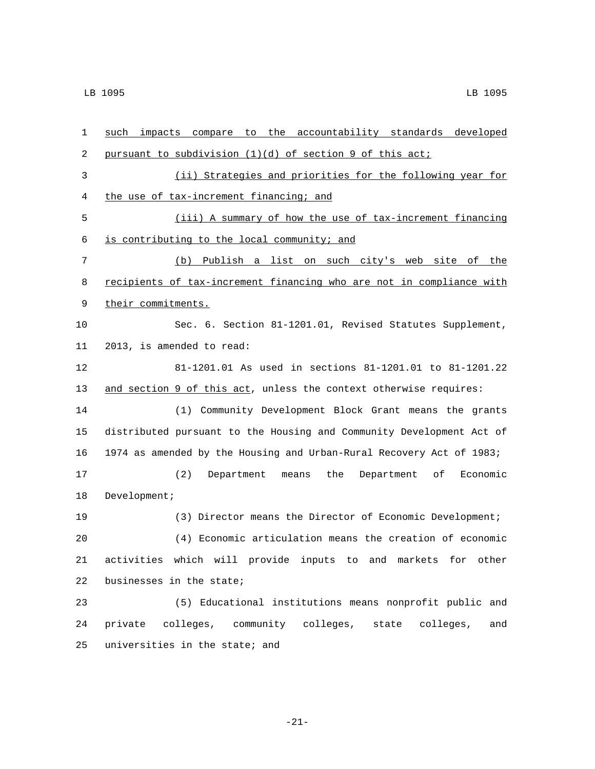| 1  | such impacts compare to the accountability standards developed       |
|----|----------------------------------------------------------------------|
| 2  | pursuant to subdivision (1)(d) of section 9 of this act;             |
| 3  | (ii) Strategies and priorities for the following year for            |
| 4  | the use of tax-increment financing; and                              |
| 5  | (iii) A summary of how the use of tax-increment financing            |
| 6  | is contributing to the local community; and                          |
| 7  | (b) Publish a list on such city's web site of the                    |
| 8  | recipients of tax-increment financing who are not in compliance with |
| 9  | their commitments.                                                   |
| 10 | Sec. 6. Section 81-1201.01, Revised Statutes Supplement,             |
| 11 | 2013, is amended to read:                                            |
| 12 | 81-1201.01 As used in sections 81-1201.01 to 81-1201.22              |
| 13 | and section 9 of this act, unless the context otherwise requires:    |
| 14 | (1) Community Development Block Grant means the grants               |
| 15 | distributed pursuant to the Housing and Community Development Act of |
| 16 | 1974 as amended by the Housing and Urban-Rural Recovery Act of 1983; |
| 17 | Economic<br>(2)<br>Department means<br>the<br>Department<br>of       |
| 18 | Development;                                                         |
| 19 | (3) Director means the Director of Economic Development;             |
| 20 | (4) Economic articulation means the creation of economic             |
| 21 | activities which will provide inputs to and markets for other        |
| 22 | businesses in the state;                                             |
| 23 | (5) Educational institutions means nonprofit public and              |
| 24 | private colleges, community colleges, state colleges,<br>and         |
| 25 | universities in the state; and                                       |

-21-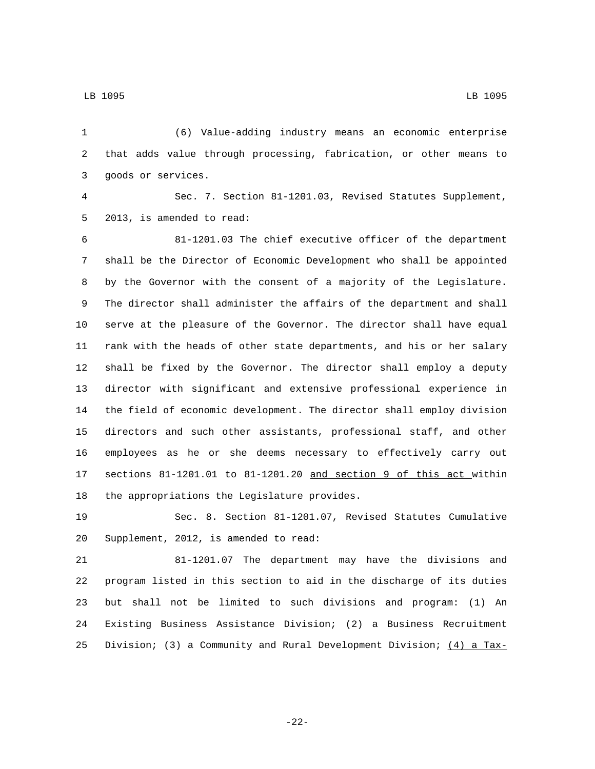(6) Value-adding industry means an economic enterprise that adds value through processing, fabrication, or other means to 3 goods or services. Sec. 7. Section 81-1201.03, Revised Statutes Supplement, 5 2013, is amended to read: 81-1201.03 The chief executive officer of the department shall be the Director of Economic Development who shall be appointed by the Governor with the consent of a majority of the Legislature. The director shall administer the affairs of the department and shall serve at the pleasure of the Governor. The director shall have equal rank with the heads of other state departments, and his or her salary shall be fixed by the Governor. The director shall employ a deputy director with significant and extensive professional experience in the field of economic development. The director shall employ division directors and such other assistants, professional staff, and other employees as he or she deems necessary to effectively carry out sections 81-1201.01 to 81-1201.20 and section 9 of this act within 18 the appropriations the Legislature provides.

 Sec. 8. Section 81-1201.07, Revised Statutes Cumulative 20 Supplement, 2012, is amended to read:

 81-1201.07 The department may have the divisions and program listed in this section to aid in the discharge of its duties but shall not be limited to such divisions and program: (1) An Existing Business Assistance Division; (2) a Business Recruitment Division; (3) a Community and Rural Development Division; (4) a Tax-

-22-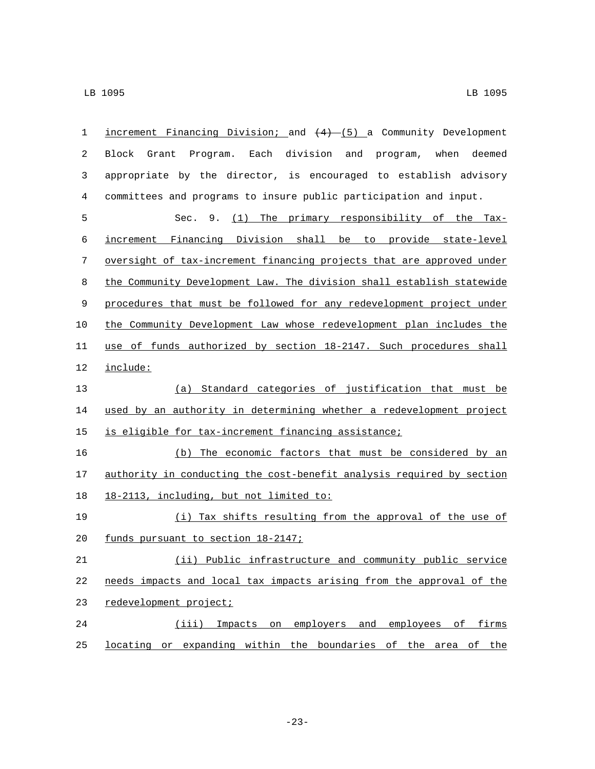| 1  | increment Financing Division; and $(4)$ (5) a Community Development        |
|----|----------------------------------------------------------------------------|
| 2  | Each division and<br>program, when<br>deemed<br>Block<br>Grant<br>Program. |
| 3  | appropriate by the director, is encouraged to establish advisory           |
| 4  | committees and programs to insure public participation and input.          |
| 5  | Sec. 9. (1) The primary responsibility of the Tax-                         |
| 6  | increment Financing Division shall be to provide state-level               |
| 7  | oversight of tax-increment financing projects that are approved under      |
| 8  | the Community Development Law. The division shall establish statewide      |
| 9  | procedures that must be followed for any redevelopment project under       |
| 10 | the Community Development Law whose redevelopment plan includes the        |
| 11 | use of funds authorized by section 18-2147. Such procedures shall          |
| 12 | include:                                                                   |
| 13 | (a) Standard categories of justification that must be                      |
| 14 | used by an authority in determining whether a redevelopment project        |
| 15 | is eligible for tax-increment financing assistance;                        |
| 16 | (b) The economic factors that must be considered by an                     |
| 17 | authority in conducting the cost-benefit analysis required by section      |
| 18 | 18-2113, including, but not limited to:                                    |
| 19 | (i) Tax shifts resulting from the approval of the use of                   |
| 20 | funds pursuant to section 18-2147;                                         |
| 21 | (ii) Public infrastructure and community public service                    |
| 22 | needs impacts and local tax impacts arising from the approval of the       |
| 23 | redevelopment project;                                                     |
| 24 | Impacts on employers and employees of firms<br>(iii)                       |
| 25 | locating or expanding within the boundaries of the area of the             |

-23-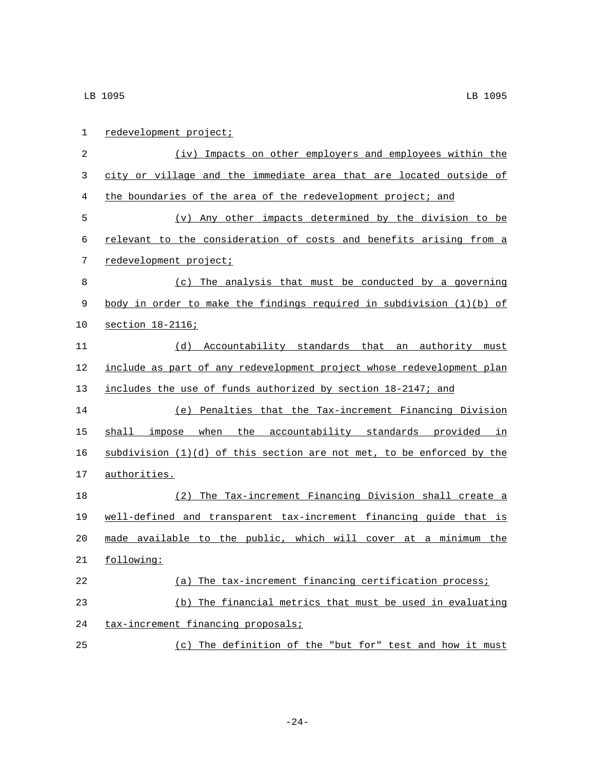| 1  | redevelopment project;                                                  |
|----|-------------------------------------------------------------------------|
| 2  | (iv) Impacts on other employers and employees within the                |
| 3  | city or village and the immediate area that are located outside of      |
| 4  | the boundaries of the area of the redevelopment project; and            |
| 5  | (v) Any other impacts determined by the division to be                  |
| 6  | relevant to the consideration of costs and benefits arising from a      |
| 7  | redevelopment project;                                                  |
| 8  | (c) The analysis that must be conducted by a governing                  |
| 9  | body in order to make the findings required in subdivision $(1)(b)$ of  |
| 10 | section 18-2116;                                                        |
| 11 | (d) Accountability standards that an authority must                     |
| 12 | include as part of any redevelopment project whose redevelopment plan   |
| 13 | includes the use of funds authorized by section 18-2147; and            |
| 14 | (e) Penalties that the Tax-increment Financing Division                 |
| 15 | shall impose when the accountability standards provided in              |
| 16 | subdivision $(1)(d)$ of this section are not met, to be enforced by the |
| 17 | authorities.                                                            |
| 18 | (2) The Tax-increment Financing Division shall create a                 |
| 19 | well-defined and transparent tax-increment financing guide that is      |
| 20 | made available to the public, which will cover at a minimum the         |
| 21 | following:                                                              |
| 22 | (a) The tax-increment financing certification process;                  |
| 23 | (b) The financial metrics that must be used in evaluating               |
| 24 | tax-increment financing proposals;                                      |
| 25 | The definition of the "but for" test and how it must<br>(C)             |